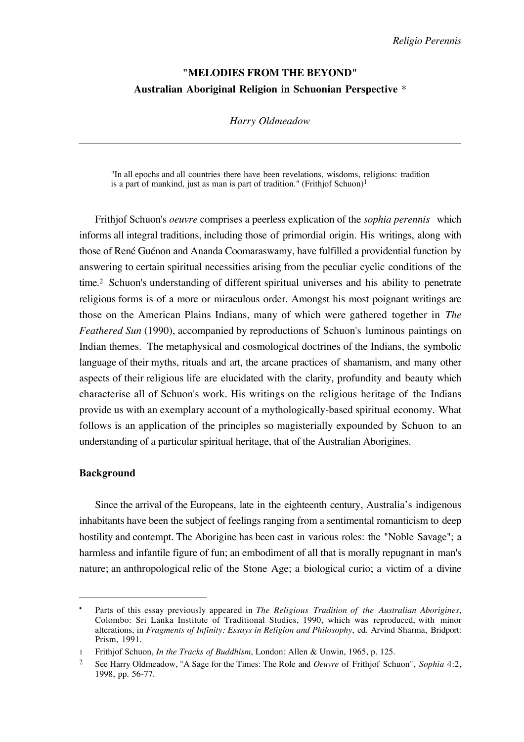# **"MELODIES FROM THE BEYOND" Australian Aboriginal Religion in Schuonian Perspective** \*

### *Harry Oldmeadow*

"In all epochs and all countries there have been revelations, wisdoms, religions: tradition is a part of mankind, just as man is part of tradition." (Frithjof Schuon)<sup>1</sup>

Frithjof Schuon's *oeuvre* comprises a peerless explication of the *sophia perennis* which informs all integral traditions, including those of primordial origin. His writings, along with those of René Guénon and Ananda Coomaraswamy, have fulfilled a providential function by answering to certain spiritual necessities arising from the peculiar cyclic conditions of the time.2 Schuon's understanding of different spiritual universes and his ability to penetrate religious forms is of a more or miraculous order. Amongst his most poignant writings are those on the American Plains Indians, many of which were gathered together in *The Feathered Sun* (1990), accompanied by reproductions of Schuon's luminous paintings on Indian themes. The metaphysical and cosmological doctrines of the Indians, the symbolic language of their myths, rituals and art, the arcane practices of shamanism, and many other aspects of their religious life are elucidated with the clarity, profundity and beauty which characterise all of Schuon's work. His writings on the religious heritage of the Indians provide us with an exemplary account of a mythologically-based spiritual economy. What follows is an application of the principles so magisterially expounded by Schuon to an understanding of a particular spiritual heritage, that of the Australian Aborigines.

## **Background**

 $\overline{a}$ 

Since the arrival of the Europeans, late in the eighteenth century, Australia's indigenous inhabitants have been the subject of feelings ranging from a sentimental romanticism to deep hostility and contempt. The Aborigine has been cast in various roles: the "Noble Savage"; a harmless and infantile figure of fun; an embodiment of all that is morally repugnant in man's nature; an anthropological relic of the Stone Age; a biological curio; a victim of a divine

<sup>•</sup> Parts of this essay previously appeared in *The Religious Tradition of the Australian Aborigines*, Colombo: Sri Lanka Institute of Traditional Studies, 1990, which was reproduced, with minor alterations, in *Fragments of Infinity: Essays in Religion and Philosophy*, ed. Arvind Sharma, Bridport: Prism, 1991.

<sup>1</sup> Frithjof Schuon, *In the Tracks of Buddhism*, London: Allen & Unwin, 1965, p. 125.

<sup>2</sup> See Harry Oldmeadow, "A Sage for the Times: The Role and *Oeuvre* of Frithjof Schuon", *Sophia* 4:2, 1998, pp. 56-77.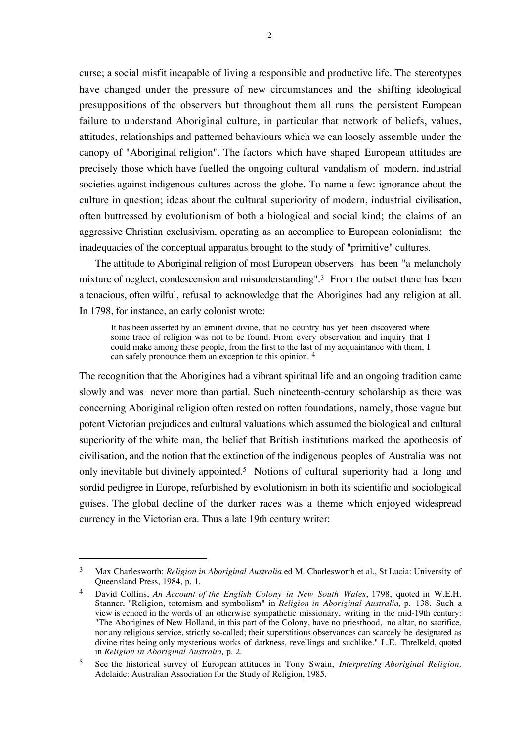curse; a social misfit incapable of living a responsible and productive life. The stereotypes have changed under the pressure of new circumstances and the shifting ideological presuppositions of the observers but throughout them all runs the persistent European failure to understand Aboriginal culture, in particular that network of beliefs, values, attitudes, relationships and patterned behaviours which we can loosely assemble under the canopy of "Aboriginal religion". The factors which have shaped European attitudes are precisely those which have fuelled the ongoing cultural vandalism of modern, industrial societies against indigenous cultures across the globe. To name a few: ignorance about the culture in question; ideas about the cultural superiority of modern, industrial civilisation, often buttressed by evolutionism of both a biological and social kind; the claims of an aggressive Christian exclusivism, operating as an accomplice to European colonialism; the inadequacies of the conceptual apparatus brought to the study of "primitive" cultures.

The attitude to Aboriginal religion of most European observers has been "a melancholy mixture of neglect, condescension and misunderstanding".3 From the outset there has been a tenacious, often wilful, refusal to acknowledge that the Aborigines had any religion at all. In 1798, for instance, an early colonist wrote:

It has been asserted by an eminent divine, that no country has yet been discovered where some trace of religion was not to be found. From every observation and inquiry that I could make among these people, from the first to the last of my acquaintance with them, I can safely pronounce them an exception to this opinion. <sup>4</sup>

The recognition that the Aborigines had a vibrant spiritual life and an ongoing tradition came slowly and was never more than partial. Such nineteenth-century scholarship as there was concerning Aboriginal religion often rested on rotten foundations, namely, those vague but potent Victorian prejudices and cultural valuations which assumed the biological and cultural superiority of the white man, the belief that British institutions marked the apotheosis of civilisation, and the notion that the extinction of the indigenous peoples of Australia was not only inevitable but divinely appointed.5 Notions of cultural superiority had a long and sordid pedigree in Europe, refurbished by evolutionism in both its scientific and sociological guises. The global decline of the darker races was a theme which enjoyed widespread currency in the Victorian era. Thus a late 19th century writer:

<sup>3</sup> Max Charlesworth: *Religion in Aboriginal Australia* ed M. Charlesworth et al., St Lucia: University of Queensland Press, 1984, p. 1.

<sup>4</sup> David Collins, *An Account of the English Colony in New South Wales*, 1798, quoted in W.E.H. Stanner, "Religion, totemism and symbolism" in *Religion in Aboriginal Australia,* p. 138. Such a view is echoed in the words of an otherwise sympathetic missionary, writing in the mid-19th century: "The Aborigines of New Holland, in this part of the Colony, have no priesthood, no altar, no sacrifice, nor any religious service, strictly so-called; their superstitious observances can scarcely be designated as divine rites being only mysterious works of darkness, revellings and suchlike." L.E. Threlkeld, quoted in *Religion in Aboriginal Australia,* p. 2.

<sup>5</sup> See the historical survey of European attitudes in Tony Swain, *Interpreting Aboriginal Religion,* Adelaide: Australian Association for the Study of Religion, 1985.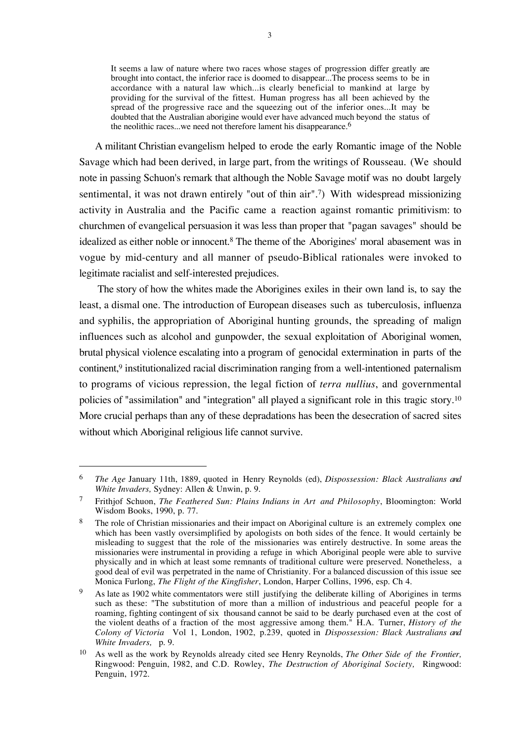It seems a law of nature where two races whose stages of progression differ greatly are brought into contact, the inferior race is doomed to disappear...The process seems to be in accordance with a natural law which...is clearly beneficial to mankind at large by providing for the survival of the fittest. Human progress has all been achieved by the spread of the progressive race and the squeezing out of the inferior ones...It may be doubted that the Australian aborigine would ever have advanced much beyond the status of the neolithic races...we need not therefore lament his disappearance.<sup>6</sup>

A militant Christian evangelism helped to erode the early Romantic image of the Noble Savage which had been derived, in large part, from the writings of Rousseau. (We should note in passing Schuon's remark that although the Noble Savage motif was no doubt largely sentimental, it was not drawn entirely "out of thin air".7) With widespread missionizing activity in Australia and the Pacific came a reaction against romantic primitivism: to churchmen of evangelical persuasion it was less than proper that "pagan savages" should be idealized as either noble or innocent.8 The theme of the Aborigines' moral abasement was in vogue by mid-century and all manner of pseudo-Biblical rationales were invoked to legitimate racialist and self-interested prejudices.

 The story of how the whites made the Aborigines exiles in their own land is, to say the least, a dismal one. The introduction of European diseases such as tuberculosis, influenza and syphilis, the appropriation of Aboriginal hunting grounds, the spreading of malign influences such as alcohol and gunpowder, the sexual exploitation of Aboriginal women, brutal physical violence escalating into a program of genocidal extermination in parts of the continent,9 institutionalized racial discrimination ranging from a well-intentioned paternalism to programs of vicious repression, the legal fiction of *terra nullius*, and governmental policies of "assimilation" and "integration" all played a significant role in this tragic story.10 More crucial perhaps than any of these depradations has been the desecration of sacred sites without which Aboriginal religious life cannot survive.

<sup>6</sup> *The Age* January 11th, 1889, quoted in Henry Reynolds (ed), *Dispossession: Black Australians and White Invaders,* Sydney: Allen & Unwin, p. 9.

<sup>7</sup> Frithjof Schuon, *The Feathered Sun: Plains Indians in Art and Philosophy*, Bloomington: World Wisdom Books, 1990, p. 77.

<sup>&</sup>lt;sup>8</sup> The role of Christian missionaries and their impact on Aboriginal culture is an extremely complex one which has been vastly oversimplified by apologists on both sides of the fence. It would certainly be misleading to suggest that the role of the missionaries was entirely destructive. In some areas the missionaries were instrumental in providing a refuge in which Aboriginal people were able to survive physically and in which at least some remnants of traditional culture were preserved. Nonetheless, a good deal of evil was perpetrated in the name of Christianity. For a balanced discussion of this issue see Monica Furlong, *The Flight of the Kingfisher*, London, Harper Collins, 1996, esp. Ch 4.

<sup>9</sup> As late as 1902 white commentators were still justifying the deliberate killing of Aborigines in terms such as these: "The substitution of more than a million of industrious and peaceful people for a roaming, fighting contingent of six thousand cannot be said to be dearly purchased even at the cost of the violent deaths of a fraction of the most aggressive among them." H.A. Turner, *History of the Colony of Victoria* Vol 1, London, 1902, p.239, quoted in *Dispossession: Black Australians and White Invaders, p. 9.* 

<sup>10</sup> As well as the work by Reynolds already cited see Henry Reynolds, *The Other Side of the Frontier,* Ringwood: Penguin, 1982, and C.D. Rowley, *The Destruction of Aboriginal Society,* Ringwood: Penguin, 1972.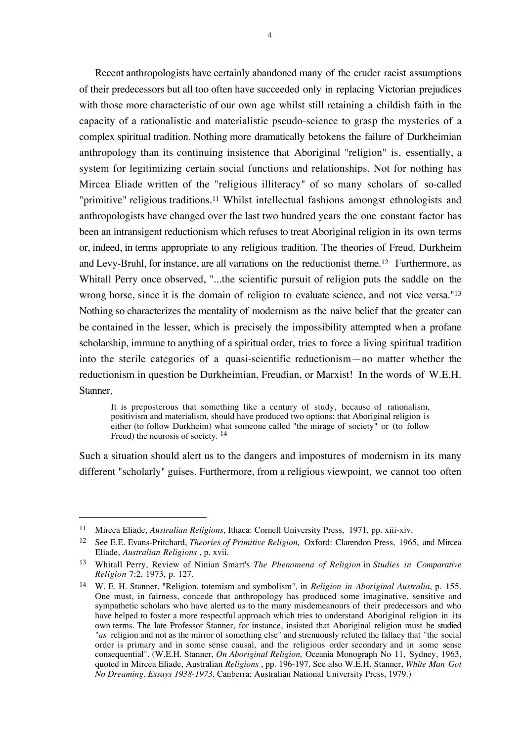Recent anthropologists have certainly abandoned many of the cruder racist assumptions of their predecessors but all too often have succeeded only in replacing Victorian prejudices with those more characteristic of our own age whilst still retaining a childish faith in the capacity of a rationalistic and materialistic pseudo-science to grasp the mysteries of a complex spiritual tradition. Nothing more dramatically betokens the failure of Durkheimian anthropology than its continuing insistence that Aboriginal "religion" is, essentially, a system for legitimizing certain social functions and relationships. Not for nothing has Mircea Eliade written of the "religious illiteracy" of so many scholars of so-called "primitive" religious traditions.<sup>11</sup> Whilst intellectual fashions amongst ethnologists and anthropologists have changed over the last two hundred years the one constant factor has been an intransigent reductionism which refuses to treat Aboriginal religion in its own terms or, indeed, in terms appropriate to any religious tradition. The theories of Freud, Durkheim and Levy-Bruhl, for instance, are all variations on the reductionist theme.12 Furthermore, as Whitall Perry once observed, "...the scientific pursuit of religion puts the saddle on the wrong horse, since it is the domain of religion to evaluate science, and not vice versa."13 Nothing so characterizes the mentality of modernism as the naive belief that the greater can be contained in the lesser, which is precisely the impossibility attempted when a profane scholarship, immune to anything of a spiritual order, tries to force a living spiritual tradition into the sterile categories of a quasi-scientific reductionism—no matter whether the reductionism in question be Durkheimian, Freudian, or Marxist! In the words of W.E.H. Stanner,

It is preposterous that something like a century of study, because of rationalism, positivism and materialism, should have produced two options: that Aboriginal religion is either (to follow Durkheim) what someone called "the mirage of society" or (to follow Freud) the neurosis of society. <sup>14</sup>

Such a situation should alert us to the dangers and impostures of modernism in its many different "scholarly" guises. Furthermore, from a religious viewpoint, we cannot too often

<sup>11</sup> Mircea Eliade, *Australian Religions*, Ithaca: Cornell University Press, 1971, pp. xiii-xiv.

<sup>12</sup> See E.E. Evans-Pritchard, *Theories of Primitive Religion,* Oxford: Clarendon Press, 1965, and Mircea Eliade, *Australian Religions* , p. xvii.

<sup>13</sup> Whitall Perry, Review of Ninian Smart's *The Phenomena of Religion* in *Studies in Comparative Religion* 7:2, 1973, p. 127.

<sup>14</sup> W. E. H. Stanner, "Religion, totemism and symbolism", in *Religion in Aboriginal Australia*, p. 155. One must, in fairness, concede that anthropology has produced some imaginative, sensitive and sympathetic scholars who have alerted us to the many misdemeanours of their predecessors and who have helped to foster a more respectful approach which tries to understand Aboriginal religion in its own terms. The late Professor Stanner, for instance, insisted that Aboriginal religion must be studied "*as* religion and not as the mirror of something else" and strenuously refuted the fallacy that "the social order is primary and in some sense causal, and the religious order secondary and in some sense consequential". (W.E.H. Stanner, *On Aboriginal Religion,* Oceania Monograph No 11, Sydney, 1963, quoted in Mircea Eliade, Australian *Religions* , pp. 196-197. See also W.E.H. Stanner, *White Man Got No Dreaming, Essays 1938-1973*, Canberra: Australian National University Press, 1979.)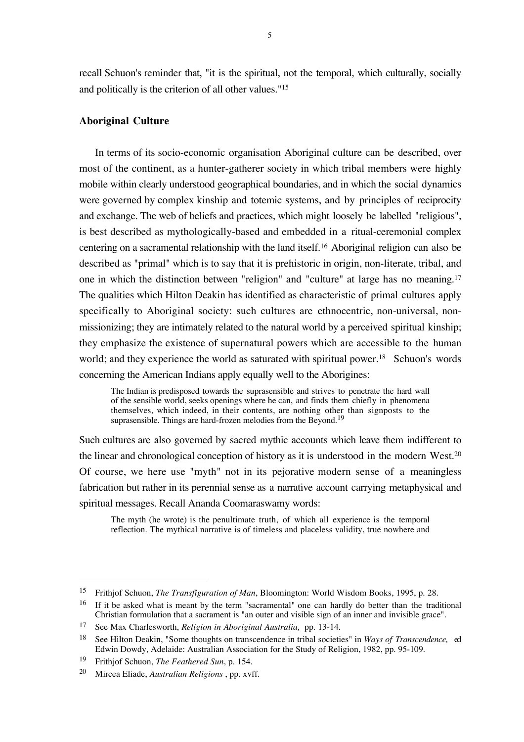recall Schuon's reminder that, "it is the spiritual, not the temporal, which culturally, socially and politically is the criterion of all other values."15

## **Aboriginal Culture**

In terms of its socio-economic organisation Aboriginal culture can be described, over most of the continent, as a hunter-gatherer society in which tribal members were highly mobile within clearly understood geographical boundaries, and in which the social dynamics were governed by complex kinship and totemic systems, and by principles of reciprocity and exchange. The web of beliefs and practices, which might loosely be labelled "religious", is best described as mythologically-based and embedded in a ritual-ceremonial complex centering on a sacramental relationship with the land itself.16 Aboriginal religion can also be described as "primal" which is to say that it is prehistoric in origin, non-literate, tribal, and one in which the distinction between "religion" and "culture" at large has no meaning.17 The qualities which Hilton Deakin has identified as characteristic of primal cultures apply specifically to Aboriginal society: such cultures are ethnocentric, non-universal, nonmissionizing; they are intimately related to the natural world by a perceived spiritual kinship; they emphasize the existence of supernatural powers which are accessible to the human world; and they experience the world as saturated with spiritual power.<sup>18</sup> Schuon's words concerning the American Indians apply equally well to the Aborigines:

The Indian is predisposed towards the suprasensible and strives to penetrate the hard wall of the sensible world, seeks openings where he can, and finds them chiefly in phenomena themselves, which indeed, in their contents, are nothing other than signposts to the suprasensible. Things are hard-frozen melodies from the Beyond.<sup>19</sup>

Such cultures are also governed by sacred mythic accounts which leave them indifferent to the linear and chronological conception of history as it is understood in the modern West.20 Of course, we here use "myth" not in its pejorative modern sense of a meaningless fabrication but rather in its perennial sense as a narrative account carrying metaphysical and spiritual messages. Recall Ananda Coomaraswamy words:

The myth (he wrote) is the penultimate truth, of which all experience is the temporal reflection. The mythical narrative is of timeless and placeless validity, true nowhere and

<sup>15</sup> Frithjof Schuon, *The Transfiguration of Man*, Bloomington: World Wisdom Books, 1995, p. 28.

<sup>&</sup>lt;sup>16</sup> If it be asked what is meant by the term "sacramental" one can hardly do better than the traditional Christian formulation that a sacrament is "an outer and visible sign of an inner and invisible grace".

<sup>17</sup> See Max Charlesworth, *Religion in Aboriginal Australia,* pp. 13-14.

<sup>18</sup> See Hilton Deakin, "Some thoughts on transcendence in tribal societies" in *Ways of Transcendence,* ed Edwin Dowdy, Adelaide: Australian Association for the Study of Religion, 1982, pp. 95-109.

<sup>19</sup> Frithjof Schuon, *The Feathered Sun*, p. 154.

<sup>20</sup> Mircea Eliade, *Australian Religions* , pp. xvff.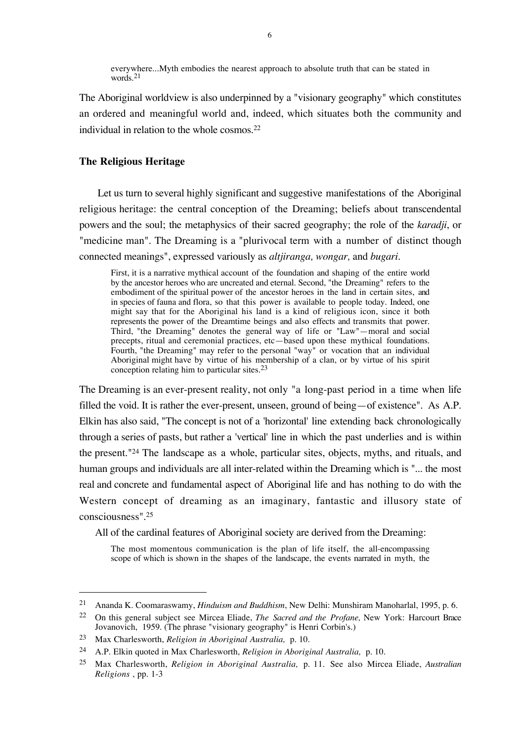everywhere...Myth embodies the nearest approach to absolute truth that can be stated in words.<sup>21</sup>

The Aboriginal worldview is also underpinned by a "visionary geography" which constitutes an ordered and meaningful world and, indeed, which situates both the community and individual in relation to the whole cosmos.22

#### **The Religious Heritage**

 Let us turn to several highly significant and suggestive manifestations of the Aboriginal religious heritage: the central conception of the Dreaming; beliefs about transcendental powers and the soul; the metaphysics of their sacred geography; the role of the *karadji*, or "medicine man". The Dreaming is a "plurivocal term with a number of distinct though connected meanings", expressed variously as *altjiranga, wongar,* and *bugari.*

First, it is a narrative mythical account of the foundation and shaping of the entire world by the ancestor heroes who are uncreated and eternal. Second, "the Dreaming" refers to the embodiment of the spiritual power of the ancestor heroes in the land in certain sites, and in species of fauna and flora, so that this power is available to people today. Indeed, one might say that for the Aboriginal his land is a kind of religious icon, since it both represents the power of the Dreamtime beings and also effects and transmits that power. Third, "the Dreaming" denotes the general way of life or "Law"—moral and social precepts, ritual and ceremonial practices, etc—based upon these mythical foundations. Fourth, "the Dreaming" may refer to the personal "way" or vocation that an individual Aboriginal might have by virtue of his membership of a clan, or by virtue of his spirit conception relating him to particular sites.23

The Dreaming is an ever-present reality, not only "a long-past period in a time when life filled the void. It is rather the ever-present, unseen, ground of being—of existence". As A.P. Elkin has also said, "The concept is not of a 'horizontal' line extending back chronologically through a series of pasts, but rather a 'vertical' line in which the past underlies and is within the present."24 The landscape as a whole, particular sites, objects, myths, and rituals, and human groups and individuals are all inter-related within the Dreaming which is "... the most real and concrete and fundamental aspect of Aboriginal life and has nothing to do with the Western concept of dreaming as an imaginary, fantastic and illusory state of consciousness".25

All of the cardinal features of Aboriginal society are derived from the Dreaming:

The most momentous communication is the plan of life itself, the all-encompassing scope of which is shown in the shapes of the landscape, the events narrated in myth, the

<sup>21</sup> Ananda K. Coomaraswamy, *Hinduism and Buddhism*, New Delhi: Munshiram Manoharlal, 1995, p. 6.

<sup>22</sup> On this general subject see Mircea Eliade, *The Sacred and the Profane,* New York: Harcourt Brace Jovanovich, 1959. (The phrase "visionary geography" is Henri Corbin's.)

<sup>23</sup> Max Charlesworth, *Religion in Aboriginal Australia,* p. 10.

<sup>24</sup> A.P. Elkin quoted in Max Charlesworth, *Religion in Aboriginal Australia,* p. 10.

<sup>25</sup> Max Charlesworth, *Religion in Aboriginal Australia,* p. 11. See also Mircea Eliade, *Australian Religions* , pp. 1-3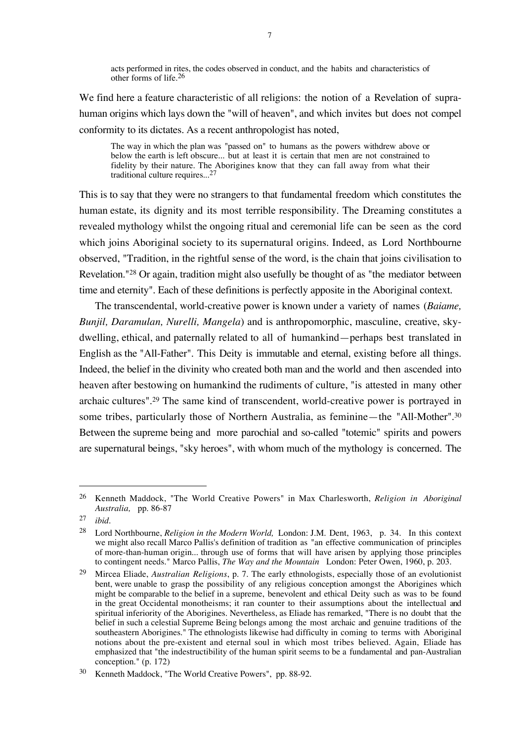acts performed in rites, the codes observed in conduct, and the habits and characteristics of other forms of life.26

We find here a feature characteristic of all religions: the notion of a Revelation of suprahuman origins which lays down the "will of heaven", and which invites but does not compel conformity to its dictates. As a recent anthropologist has noted,

The way in which the plan was "passed on" to humans as the powers withdrew above or below the earth is left obscure... but at least it is certain that men are not constrained to fidelity by their nature. The Aborigines know that they can fall away from what their traditional culture requires...27

This is to say that they were no strangers to that fundamental freedom which constitutes the human estate, its dignity and its most terrible responsibility. The Dreaming constitutes a revealed mythology whilst the ongoing ritual and ceremonial life can be seen as the cord which joins Aboriginal society to its supernatural origins. Indeed, as Lord Northbourne observed, "Tradition, in the rightful sense of the word, is the chain that joins civilisation to Revelation."28 Or again, tradition might also usefully be thought of as "the mediator between time and eternity". Each of these definitions is perfectly apposite in the Aboriginal context.

The transcendental, world-creative power is known under a variety of names (*Baiame, Bunjil, Daramulan, Nurelli, Mangela*) and is anthropomorphic, masculine, creative, skydwelling, ethical, and paternally related to all of humankind—perhaps best translated in English as the "All-Father". This Deity is immutable and eternal, existing before all things. Indeed, the belief in the divinity who created both man and the world and then ascended into heaven after bestowing on humankind the rudiments of culture, "is attested in many other archaic cultures".29 The same kind of transcendent, world-creative power is portrayed in some tribes, particularly those of Northern Australia, as feminine—the "All-Mother".30 Between the supreme being and more parochial and so-called "totemic" spirits and powers are supernatural beings, "sky heroes", with whom much of the mythology is concerned. The

<sup>26</sup> Kenneth Maddock, "The World Creative Powers" in Max Charlesworth, *Religion in Aboriginal Australia,* pp. 86-87

<sup>27</sup> *ibid*.

<sup>28</sup> Lord Northbourne, *Religion in the Modern World,* London: J.M. Dent, 1963, p. 34. In this context we might also recall Marco Pallis's definition of tradition as "an effective communication of principles of more-than-human origin... through use of forms that will have arisen by applying those principles to contingent needs." Marco Pallis, *The Way and the Mountain* London: Peter Owen, 1960, p. 203.

<sup>29</sup> Mircea Eliade, *Australian Religions*, p. 7. The early ethnologists, especially those of an evolutionist bent, were unable to grasp the possibility of any religious conception amongst the Aborigines which might be comparable to the belief in a supreme, benevolent and ethical Deity such as was to be found in the great Occidental monotheisms; it ran counter to their assumptions about the intellectual and spiritual inferiority of the Aborigines. Nevertheless, as Eliade has remarked, "There is no doubt that the belief in such a celestial Supreme Being belongs among the most archaic and genuine traditions of the southeastern Aborigines." The ethnologists likewise had difficulty in coming to terms with Aboriginal notions about the pre-existent and eternal soul in which most tribes believed. Again, Eliade has emphasized that "the indestructibility of the human spirit seems to be a fundamental and pan-Australian conception." (p. 172)

<sup>30</sup> Kenneth Maddock, "The World Creative Powers", pp. 88-92.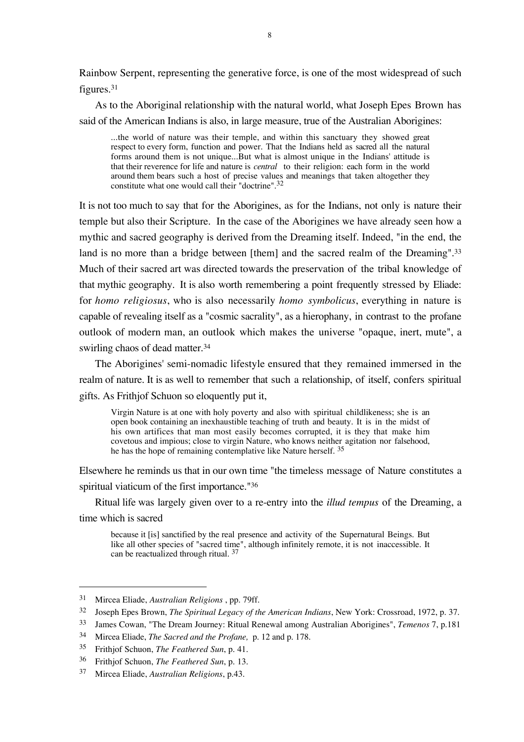Rainbow Serpent, representing the generative force, is one of the most widespread of such figures.31

As to the Aboriginal relationship with the natural world, what Joseph Epes Brown has said of the American Indians is also, in large measure, true of the Australian Aborigines:

...the world of nature was their temple, and within this sanctuary they showed great respect to every form, function and power. That the Indians held as sacred all the natural forms around them is not unique...But what is almost unique in the Indians' attitude is that their reverence for life and nature is *central* to their religion: each form in the world around them bears such a host of precise values and meanings that taken altogether they constitute what one would call their "doctrine".32

It is not too much to say that for the Aborigines, as for the Indians, not only is nature their temple but also their Scripture. In the case of the Aborigines we have already seen how a mythic and sacred geography is derived from the Dreaming itself. Indeed, "in the end, the land is no more than a bridge between [them] and the sacred realm of the Dreaming".<sup>33</sup> Much of their sacred art was directed towards the preservation of the tribal knowledge of that mythic geography. It is also worth remembering a point frequently stressed by Eliade: for *homo religiosus*, who is also necessarily *homo symbolicus*, everything in nature is capable of revealing itself as a "cosmic sacrality", as a hierophany, in contrast to the profane outlook of modern man, an outlook which makes the universe "opaque, inert, mute", a swirling chaos of dead matter.<sup>34</sup>

The Aborigines' semi-nomadic lifestyle ensured that they remained immersed in the realm of nature. It is as well to remember that such a relationship, of itself, confers spiritual gifts. As Frithjof Schuon so eloquently put it,

Virgin Nature is at one with holy poverty and also with spiritual childlikeness; she is an open book containing an inexhaustible teaching of truth and beauty. It is in the midst of his own artifices that man most easily becomes corrupted, it is they that make him covetous and impious; close to virgin Nature, who knows neither agitation nor falsehood, he has the hope of remaining contemplative like Nature herself. <sup>35</sup>

Elsewhere he reminds us that in our own time "the timeless message of Nature constitutes a spiritual viaticum of the first importance."36

Ritual life was largely given over to a re-entry into the *illud tempus* of the Dreaming, a time which is sacred

because it [is] sanctified by the real presence and activity of the Supernatural Beings. But like all other species of "sacred time", although infinitely remote, it is not inaccessible. It can be reactualized through ritual. 37

<sup>31</sup> Mircea Eliade, *Australian Religions* , pp. 79ff.

<sup>32</sup> Joseph Epes Brown, *The Spiritual Legacy of the American Indians*, New York: Crossroad, 1972, p. 37.

<sup>33</sup> James Cowan, "The Dream Journey: Ritual Renewal among Australian Aborigines", *Temenos* 7, p.181

<sup>34</sup> Mircea Eliade, *The Sacred and the Profane,* p. 12 and p. 178.

<sup>35</sup> Frithjof Schuon, *The Feathered Sun*, p. 41.

<sup>36</sup> Frithjof Schuon, *The Feathered Sun*, p. 13.

<sup>37</sup> Mircea Eliade, *Australian Religions*, p.43.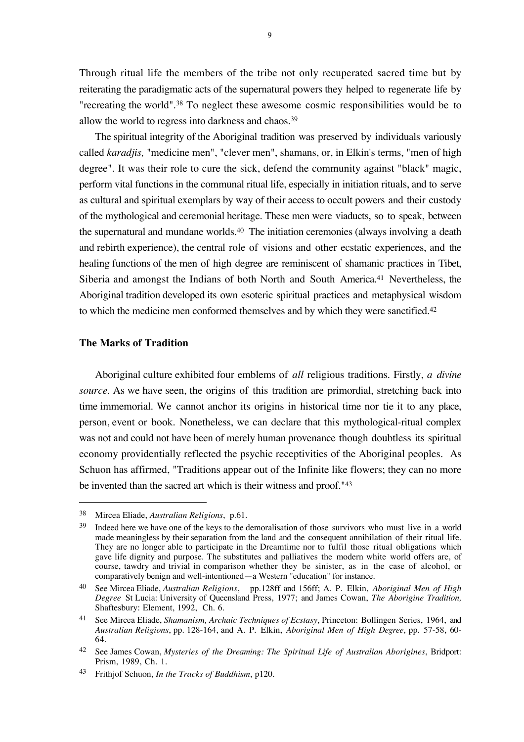Through ritual life the members of the tribe not only recuperated sacred time but by reiterating the paradigmatic acts of the supernatural powers they helped to regenerate life by "recreating the world".38 To neglect these awesome cosmic responsibilities would be to allow the world to regress into darkness and chaos.39

The spiritual integrity of the Aboriginal tradition was preserved by individuals variously called *karadjis,* "medicine men", "clever men", shamans, or, in Elkin's terms, "men of high degree". It was their role to cure the sick, defend the community against "black" magic, perform vital functions in the communal ritual life, especially in initiation rituals, and to serve as cultural and spiritual exemplars by way of their access to occult powers and their custody of the mythological and ceremonial heritage. These men were viaducts, so to speak, between the supernatural and mundane worlds.40 The initiation ceremonies (always involving a death and rebirth experience), the central role of visions and other ecstatic experiences, and the healing functions of the men of high degree are reminiscent of shamanic practices in Tibet, Siberia and amongst the Indians of both North and South America.41 Nevertheless, the Aboriginal tradition developed its own esoteric spiritual practices and metaphysical wisdom to which the medicine men conformed themselves and by which they were sanctified.42

### **The Marks of Tradition**

 $\overline{a}$ 

Aboriginal culture exhibited four emblems of *all* religious traditions. Firstly, *a divine source.* As we have seen, the origins of this tradition are primordial, stretching back into time immemorial. We cannot anchor its origins in historical time nor tie it to any place, person, event or book. Nonetheless, we can declare that this mythological-ritual complex was not and could not have been of merely human provenance though doubtless its spiritual economy providentially reflected the psychic receptivities of the Aboriginal peoples. As Schuon has affirmed, "Traditions appear out of the Infinite like flowers; they can no more be invented than the sacred art which is their witness and proof."43

<sup>38</sup> Mircea Eliade, *Australian Religions*, p.61.

<sup>&</sup>lt;sup>39</sup> Indeed here we have one of the keys to the demoralisation of those survivors who must live in a world made meaningless by their separation from the land and the consequent annihilation of their ritual life. They are no longer able to participate in the Dreamtime nor to fulfil those ritual obligations which gave life dignity and purpose. The substitutes and palliatives the modern white world offers are, of course, tawdry and trivial in comparison whether they be sinister, as in the case of alcohol, or comparatively benign and well-intentioned—a Western "education" for instance.

<sup>40</sup> See Mircea Eliade, *Australian Religions*, pp.128ff and 156ff; A. P. Elkin, *Aboriginal Men of High Degree* St Lucia: University of Queensland Press, 1977; and James Cowan, *The Aborigine Tradition,* Shaftesbury: Element, 1992, Ch. 6.

<sup>41</sup> See Mircea Eliade, *Shamanism, Archaic Techniques of Ecstasy*, Princeton: Bollingen Series, 1964, and *Australian Religions*, pp. 128-164, and A. P. Elkin, *Aboriginal Men of High Degree*, pp. 57-58, 60- 64.

<sup>42</sup> See James Cowan, *Mysteries of the Dreaming: The Spiritual Life of Australian Aborigines*, Bridport: Prism, 1989, Ch. 1.

<sup>43</sup> Frithjof Schuon, *In the Tracks of Buddhism*, p120.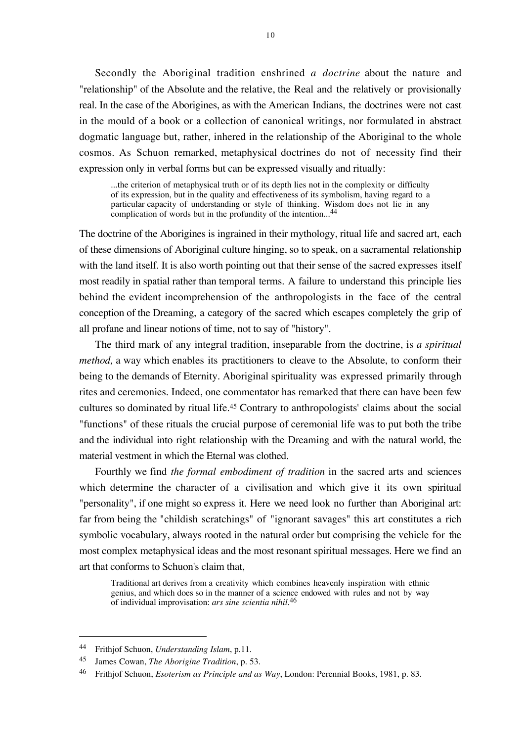Secondly the Aboriginal tradition enshrined *a doctrine* about the nature and "relationship" of the Absolute and the relative, the Real and the relatively or provisionally real. In the case of the Aborigines, as with the American Indians, the doctrines were not cast in the mould of a book or a collection of canonical writings, nor formulated in abstract dogmatic language but, rather, inhered in the relationship of the Aboriginal to the whole cosmos. As Schuon remarked, metaphysical doctrines do not of necessity find their expression only in verbal forms but can be expressed visually and ritually:

...the criterion of metaphysical truth or of its depth lies not in the complexity or difficulty of its expression, but in the quality and effectiveness of its symbolism, having regard to a particular capacity of understanding or style of thinking. Wisdom does not lie in any complication of words but in the profundity of the intention...<sup>44</sup>

The doctrine of the Aborigines is ingrained in their mythology, ritual life and sacred art, each of these dimensions of Aboriginal culture hinging, so to speak, on a sacramental relationship with the land itself. It is also worth pointing out that their sense of the sacred expresses itself most readily in spatial rather than temporal terms. A failure to understand this principle lies behind the evident incomprehension of the anthropologists in the face of the central conception of the Dreaming, a category of the sacred which escapes completely the grip of all profane and linear notions of time, not to say of "history".

The third mark of any integral tradition, inseparable from the doctrine, is *a spiritual method*, a way which enables its practitioners to cleave to the Absolute, to conform their being to the demands of Eternity. Aboriginal spirituality was expressed primarily through rites and ceremonies. Indeed, one commentator has remarked that there can have been few cultures so dominated by ritual life.45 Contrary to anthropologists' claims about the social "functions" of these rituals the crucial purpose of ceremonial life was to put both the tribe and the individual into right relationship with the Dreaming and with the natural world, the material vestment in which the Eternal was clothed.

Fourthly we find *the formal embodiment of tradition* in the sacred arts and sciences which determine the character of a civilisation and which give it its own spiritual "personality", if one might so express it. Here we need look no further than Aboriginal art: far from being the "childish scratchings" of "ignorant savages" this art constitutes a rich symbolic vocabulary, always rooted in the natural order but comprising the vehicle for the most complex metaphysical ideas and the most resonant spiritual messages. Here we find an art that conforms to Schuon's claim that,

Traditional art derives from a creativity which combines heavenly inspiration with ethnic genius, and which does so in the manner of a science endowed with rules and not by way of individual improvisation: *ars sine scientia nihil*. 46

<sup>44</sup> Frithjof Schuon, *Understanding Islam*, p.11.

<sup>45</sup> James Cowan, *The Aborigine Tradition*, p. 53.

<sup>46</sup> Frithjof Schuon, *Esoterism as Principle and as Way*, London: Perennial Books, 1981, p. 83.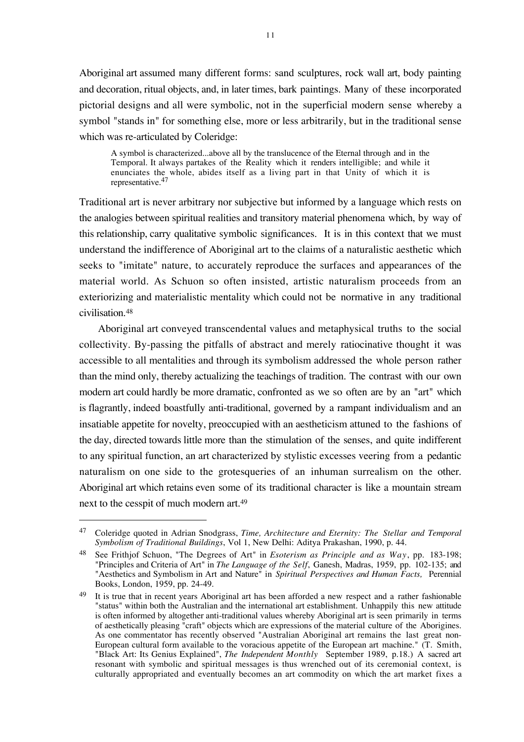Aboriginal art assumed many different forms: sand sculptures, rock wall art, body painting and decoration, ritual objects, and, in later times, bark paintings. Many of these incorporated pictorial designs and all were symbolic, not in the superficial modern sense whereby a symbol "stands in" for something else, more or less arbitrarily, but in the traditional sense which was re-articulated by Coleridge:

A symbol is characterized...above all by the translucence of the Eternal through and in the Temporal. It always partakes of the Reality which it renders intelligible; and while it enunciates the whole, abides itself as a living part in that Unity of which it is representative.47

Traditional art is never arbitrary nor subjective but informed by a language which rests on the analogies between spiritual realities and transitory material phenomena which, by way of this relationship, carry qualitative symbolic significances. It is in this context that we must understand the indifference of Aboriginal art to the claims of a naturalistic aesthetic which seeks to "imitate" nature, to accurately reproduce the surfaces and appearances of the material world. As Schuon so often insisted, artistic naturalism proceeds from an exteriorizing and materialistic mentality which could not be normative in any traditional civilisation.48

Aboriginal art conveyed transcendental values and metaphysical truths to the social collectivity. By-passing the pitfalls of abstract and merely ratiocinative thought it was accessible to all mentalities and through its symbolism addressed the whole person rather than the mind only, thereby actualizing the teachings of tradition. The contrast with our own modern art could hardly be more dramatic, confronted as we so often are by an "art" which is flagrantly, indeed boastfully anti-traditional, governed by a rampant individualism and an insatiable appetite for novelty, preoccupied with an aestheticism attuned to the fashions of the day, directed towards little more than the stimulation of the senses, and quite indifferent to any spiritual function, an art characterized by stylistic excesses veering from a pedantic naturalism on one side to the grotesqueries of an inhuman surrealism on the other. Aboriginal art which retains even some of its traditional character is like a mountain stream next to the cesspit of much modern art.49

<sup>47</sup> Coleridge quoted in Adrian Snodgrass, *Time, Architecture and Eternity: The Stellar and Temporal Symbolism of Traditional Buildings*, Vol 1, New Delhi: Aditya Prakashan, 1990, p. 44.

<sup>48</sup> See Frithjof Schuon, "The Degrees of Art" in *Esoterism as Principle and as Way*, pp. 183-198; "Principles and Criteria of Art" in *The Language of the Self*, Ganesh, Madras, 1959, pp. 102-135; and "Aesthetics and Symbolism in Art and Nature" in *Spiritual Perspectives and Human Facts,* Perennial Books, London, 1959, pp. 24-49.

 $49$  It is true that in recent years Aboriginal art has been afforded a new respect and a rather fashionable "status" within both the Australian and the international art establishment. Unhappily this new attitude is often informed by altogether anti-traditional values whereby Aboriginal art is seen primarily in terms of aesthetically pleasing "craft" objects which are expressions of the material culture of the Aborigines. As one commentator has recently observed "Australian Aboriginal art remains the last great non-European cultural form available to the voracious appetite of the European art machine." (T. Smith, "Black Art: Its Genius Explained", *The Independent Monthly* September 1989, p.18.) A sacred art resonant with symbolic and spiritual messages is thus wrenched out of its ceremonial context, is culturally appropriated and eventually becomes an art commodity on which the art market fixes a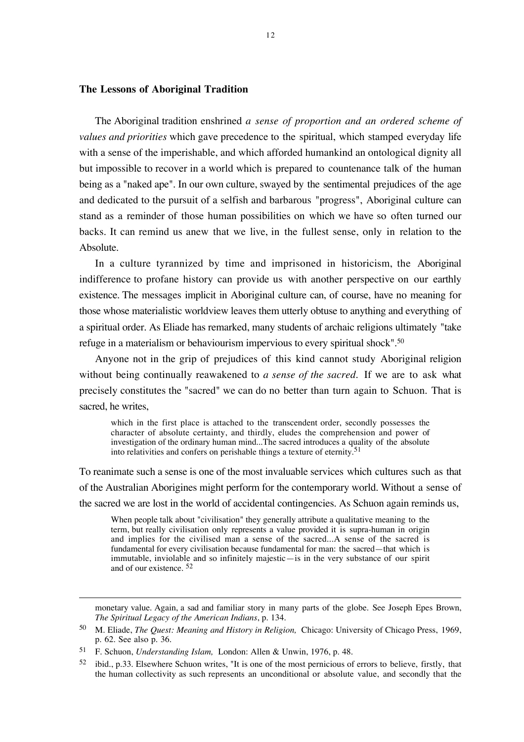#### **The Lessons of Aboriginal Tradition**

The Aboriginal tradition enshrined *a sense of proportion and an ordered scheme of values and priorities* which gave precedence to the spiritual, which stamped everyday life with a sense of the imperishable, and which afforded humankind an ontological dignity all but impossible to recover in a world which is prepared to countenance talk of the human being as a "naked ape". In our own culture, swayed by the sentimental prejudices of the age and dedicated to the pursuit of a selfish and barbarous "progress", Aboriginal culture can stand as a reminder of those human possibilities on which we have so often turned our backs. It can remind us anew that we live, in the fullest sense, only in relation to the Absolute.

In a culture tyrannized by time and imprisoned in historicism, the Aboriginal indifference to profane history can provide us with another perspective on our earthly existence. The messages implicit in Aboriginal culture can, of course, have no meaning for those whose materialistic worldview leaves them utterly obtuse to anything and everything of a spiritual order. As Eliade has remarked, many students of archaic religions ultimately "take refuge in a materialism or behaviourism impervious to every spiritual shock".50

Anyone not in the grip of prejudices of this kind cannot study Aboriginal religion without being continually reawakened to *a sense of the sacred*. If we are to ask what precisely constitutes the "sacred" we can do no better than turn again to Schuon. That is sacred, he writes,

which in the first place is attached to the transcendent order, secondly possesses the character of absolute certainty, and thirdly, eludes the comprehension and power of investigation of the ordinary human mind...The sacred introduces a quality of the absolute into relativities and confers on perishable things a texture of eternity.51

To reanimate such a sense is one of the most invaluable services which cultures such as that of the Australian Aborigines might perform for the contemporary world. Without a sense of the sacred we are lost in the world of accidental contingencies. As Schuon again reminds us,

When people talk about "civilisation" they generally attribute a qualitative meaning to the term, but really civilisation only represents a value provided it is supra-human in origin and implies for the civilised man a sense of the sacred...A sense of the sacred is fundamental for every civilisation because fundamental for man: the sacred—that which is immutable, inviolable and so infinitely majestic—is in the very substance of our spirit and of our existence. 52

monetary value. Again, a sad and familiar story in many parts of the globe. See Joseph Epes Brown, *The Spiritual Legacy of the American Indians*, p. 134.

<sup>50</sup> M. Eliade, *The Quest: Meaning and History in Religion,* Chicago: University of Chicago Press, 1969, p. 62. See also p. 36.

<sup>51</sup> F. Schuon, *Understanding Islam,* London: Allen & Unwin, 1976, p. 48.

<sup>52</sup> ibid., p.33. Elsewhere Schuon writes, "It is one of the most pernicious of errors to believe, firstly, that the human collectivity as such represents an unconditional or absolute value, and secondly that the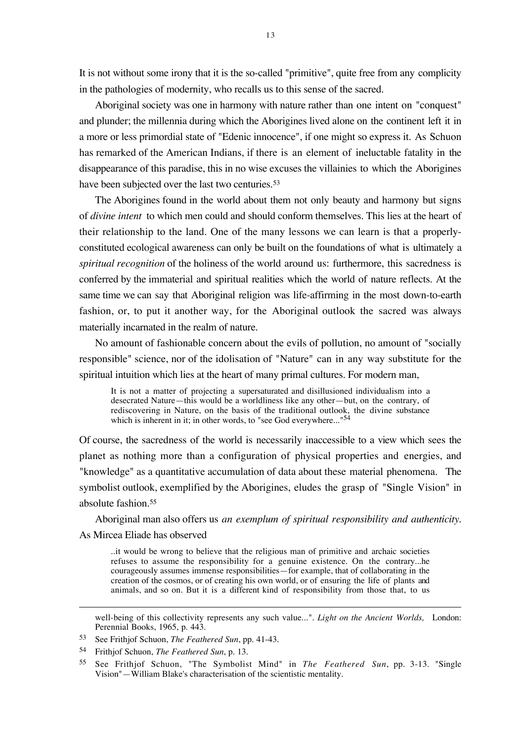It is not without some irony that it is the so-called "primitive", quite free from any complicity in the pathologies of modernity, who recalls us to this sense of the sacred.

Aboriginal society was one in harmony with nature rather than one intent on "conquest" and plunder; the millennia during which the Aborigines lived alone on the continent left it in a more or less primordial state of "Edenic innocence", if one might so express it. As Schuon has remarked of the American Indians, if there is an element of ineluctable fatality in the disappearance of this paradise, this in no wise excuses the villainies to which the Aborigines have been subjected over the last two centuries.<sup>53</sup>

The Aborigines found in the world about them not only beauty and harmony but signs of *divine intent* to which men could and should conform themselves. This lies at the heart of their relationship to the land. One of the many lessons we can learn is that a properlyconstituted ecological awareness can only be built on the foundations of what is ultimately a *spiritual recognition* of the holiness of the world around us: furthermore, this sacredness is conferred by the immaterial and spiritual realities which the world of nature reflects. At the same time we can say that Aboriginal religion was life-affirming in the most down-to-earth fashion, or, to put it another way, for the Aboriginal outlook the sacred was always materially incarnated in the realm of nature.

No amount of fashionable concern about the evils of pollution, no amount of "socially responsible" science, nor of the idolisation of "Nature" can in any way substitute for the spiritual intuition which lies at the heart of many primal cultures. For modern man,

It is not a matter of projecting a supersaturated and disillusioned individualism into a desecrated Nature—this would be a worldliness like any other—but, on the contrary, of rediscovering in Nature, on the basis of the traditional outlook, the divine substance which is inherent in it; in other words, to "see God everywhere..."<sup>54</sup>

Of course, the sacredness of the world is necessarily inaccessible to a view which sees the planet as nothing more than a configuration of physical properties and energies, and "knowledge" as a quantitative accumulation of data about these material phenomena. The symbolist outlook, exemplified by the Aborigines, eludes the grasp of "Single Vision" in absolute fashion.55

Aboriginal man also offers us *an exemplum of spiritual responsibility and authenticity*. As Mircea Eliade has observed

..it would be wrong to believe that the religious man of primitive and archaic societies refuses to assume the responsibility for a genuine existence. On the contrary...he courageously assumes immense responsibilities—for example, that of collaborating in the creation of the cosmos, or of creating his own world, or of ensuring the life of plants and animals, and so on. But it is a different kind of responsibility from those that, to us

well-being of this collectivity represents any such value...". *Light on the Ancient Worlds,* London: Perennial Books, 1965, p. 443.

<sup>53</sup> See Frithjof Schuon, *The Feathered Sun*, pp. 41-43.

<sup>54</sup> Frithjof Schuon, *The Feathered Sun*, p. 13.

<sup>55</sup> See Frithjof Schuon, "The Symbolist Mind" in *The Feathered Sun*, pp. 3-13. "Single Vision"—William Blake's characterisation of the scientistic mentality.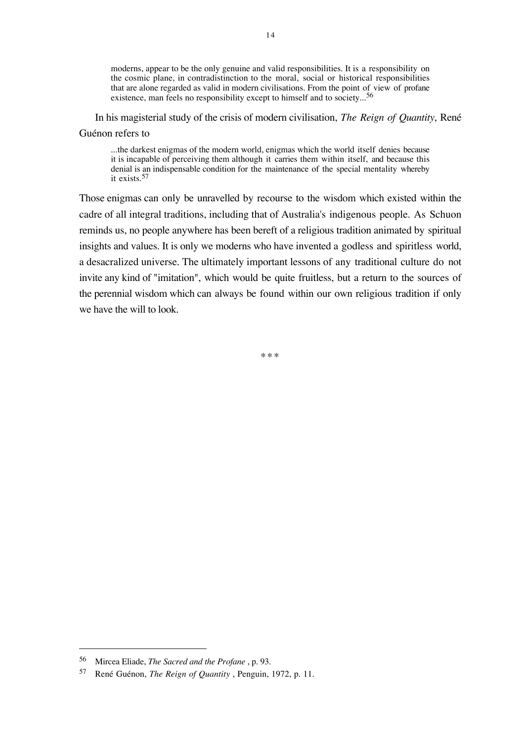moderns, appear to be the only genuine and valid responsibilities. It is a responsibility on the cosmic plane, in contradistinction to the moral, social or historical responsibilities that are alone regarded as valid in modern civilisations. From the point of view of profane existence, man feels no responsibility except to himself and to society...<sup>56</sup>

In his magisterial study of the crisis of modern civilisation, *The Reign of Quantity*, René Guénon refers to

...the darkest enigmas of the modern world, enigmas which the world itself denies because it is incapable of perceiving them although it carries them within itself, and because this denial is an indispensable condition for the maintenance of the special mentality whereby it exists.57

Those enigmas can only be unravelled by recourse to the wisdom which existed within the cadre of all integral traditions, including that of Australia's indigenous people. As Schuon reminds us, no people anywhere has been bereft of a religious tradition animated by spiritual insights and values. It is only we moderns who have invented a godless and spiritless world, a desacralized universe. The ultimately important lessons of any traditional culture do not invite any kind of "imitation", which would be quite fruitless, but a return to the sources of the perennial wisdom which can always be found within our own religious tradition if only we have the will to look.

\*\*\*

<sup>56</sup> Mircea Eliade, *The Sacred and the Profane* , p. 93.

<sup>57</sup> René Guénon, *The Reign of Quantity* , Penguin, 1972, p. 11.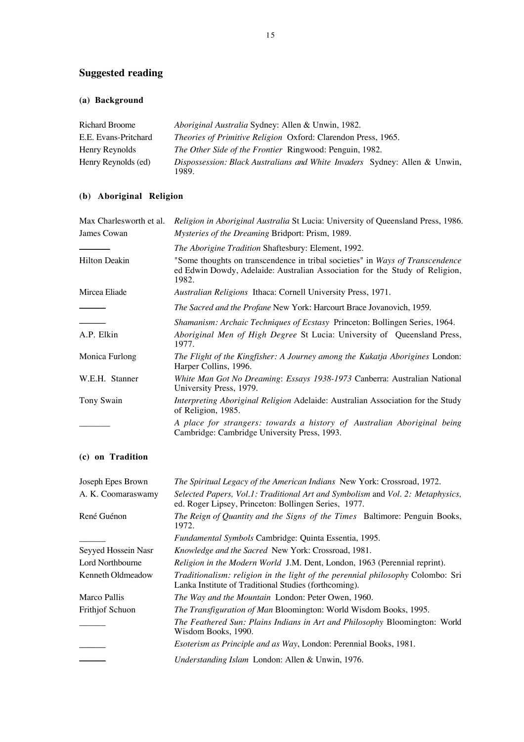## **Suggested reading**

## **(a) Background**

| Richard Broome       | Aboriginal Australia Sydney: Allen & Unwin, 1982.                                              |
|----------------------|------------------------------------------------------------------------------------------------|
| E.E. Evans-Pritchard | <i>Theories of Primitive Religion Oxford: Clarendon Press, 1965.</i>                           |
| Henry Reynolds       | <i>The Other Side of the Frontier Ringwood: Penguin, 1982.</i>                                 |
| Henry Reynolds (ed)  | <i>Dispossession: Black Australians and White Invaders Sydney: Allen &amp; Unwin,</i><br>1989. |

## **(b) Aboriginal Religion**

| Max Charlesworth et al. | Religion in Aboriginal Australia St Lucia: University of Queensland Press, 1986.                                                                                      |
|-------------------------|-----------------------------------------------------------------------------------------------------------------------------------------------------------------------|
| James Cowan             | <i>Mysteries of the Dreaming Bridport: Prism, 1989.</i>                                                                                                               |
|                         | <i>The Aborigine Tradition Shaftesbury: Element, 1992.</i>                                                                                                            |
| <b>Hilton Deakin</b>    | "Some thoughts on transcendence in tribal societies" in Ways of Transcendence<br>ed Edwin Dowdy, Adelaide: Australian Association for the Study of Religion,<br>1982. |
| Mircea Eliade           | Australian Religions Ithaca: Cornell University Press, 1971.                                                                                                          |
|                         | The Sacred and the Profane New York: Harcourt Brace Jovanovich, 1959.                                                                                                 |
|                         | <i>Shamanism: Archaic Techniques of Ecstasy Princeton: Bollingen Series, 1964.</i>                                                                                    |
| A.P. Elkin              | Aboriginal Men of High Degree St Lucia: University of Queensland Press,<br>1977.                                                                                      |
| Monica Furlong          | The Flight of the Kingfisher: A Journey among the Kukatja Aborigines London:<br>Harper Collins, 1996.                                                                 |
| W.E.H. Stanner          | White Man Got No Dreaming: Essays 1938-1973 Canberra: Australian National<br>University Press, 1979.                                                                  |
| Tony Swain              | <i>Interpreting Aboriginal Religion Adelaide: Australian Association for the Study</i><br>of Religion, 1985.                                                          |
|                         | A place for strangers: towards a history of Australian Aboriginal being<br>Cambridge: Cambridge University Press, 1993.                                               |

## **(c) on Tradition**

| Joseph Epes Brown   | The Spiritual Legacy of the American Indians New York: Crossroad, 1972.                                                                 |
|---------------------|-----------------------------------------------------------------------------------------------------------------------------------------|
| A. K. Coomaraswamy  | Selected Papers, Vol.1: Traditional Art and Symbolism and Vol. 2: Metaphysics,<br>ed. Roger Lipsey, Princeton: Bollingen Series, 1977.  |
| René Guénon         | The Reign of Quantity and the Signs of the Times Baltimore: Penguin Books,<br>1972.                                                     |
|                     | <i>Fundamental Symbols</i> Cambridge: Quinta Essentia, 1995.                                                                            |
| Seyyed Hossein Nasr | Knowledge and the Sacred New York: Crossroad, 1981.                                                                                     |
| Lord Northbourne    | Religion in the Modern World J.M. Dent, London, 1963 (Perennial reprint).                                                               |
| Kenneth Oldmeadow   | Traditionalism: religion in the light of the perennial philosophy Colombo: Sri<br>Lanka Institute of Traditional Studies (forthcoming). |
| Marco Pallis        | The Way and the Mountain London: Peter Owen, 1960.                                                                                      |
| Frithjof Schuon     | The Transfiguration of Man Bloomington: World Wisdom Books, 1995.                                                                       |
|                     | The Feathered Sun: Plains Indians in Art and Philosophy Bloomington: World<br>Wisdom Books, 1990.                                       |
|                     | Esoterism as Principle and as Way, London: Perennial Books, 1981.                                                                       |
|                     | <i>Understanding Islam London: Allen &amp; Unwin, 1976.</i>                                                                             |